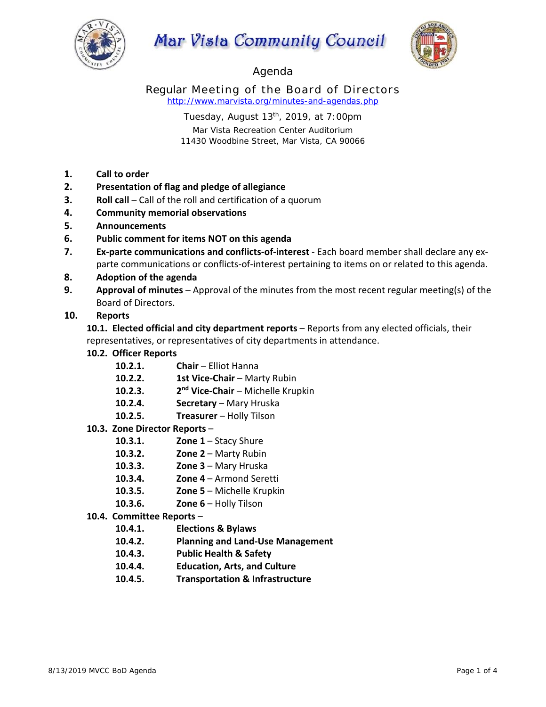

# Mar Vista Community Council



# Agenda

Regular Meeting of the Board of Directors *http://www.marvista.org/minutes-and-agendas.php* 

> Tuesday, August  $13<sup>th</sup>$ , 2019, at 7:00pm Mar Vista Recreation Center Auditorium 11430 Woodbine Street, Mar Vista, CA 90066

- **1. Call to order**
- **2. Presentation of flag and pledge of allegiance**
- **3. Roll call** Call of the roll and certification of a quorum
- **4. Community memorial observations**
- **5. Announcements**
- **6. Public comment for items NOT on this agenda**
- **7. Ex‐parte communications and conflicts‐of‐interest** ‐ Each board member shall declare any ex‐ parte communications or conflicts-of-interest pertaining to items on or related to this agenda.
- **8. Adoption of the agenda**
- **9. Approval of minutes** Approval of the minutes from the most recent regular meeting(s) of the Board of Directors.

### **10. Reports**

**10.1. Elected official and city department reports** – Reports from any elected officials, their representatives, or representatives of city departments in attendance.

- **10.2. Officer Reports** 
	- 10.2.1. **Chair Elliot Hanna**
	- **10.2.2. 1st Vice-Chair** Marty Rubin
	- **10.2.3. 2nd Vice‐Chair**  Michelle Krupkin
	- 10.2.4. **Secretary** Mary Hruska
	- **10.2.5. Treasurer**  Holly Tilson

#### **10.3. Zone Director Reports** –

- **10.3.1. Zone 1** Stacy Shure
- **10.3.2. Zone 2** Marty Rubin
- **10.3.3. Zone 3**  Mary Hruska
- **10.3.4. Zone 4**  Armond Seretti
- **10.3.5. Zone 5**  Michelle Krupkin
- **10.3.6. Zone 6**  Holly Tilson
- **10.4. Committee Reports** 
	- **10.4.1. Elections & Bylaws**
	- **10.4.2. Planning and Land‐Use Management**
	- **10.4.3. Public Health & Safety**
	- **10.4.4. Education, Arts, and Culture**
	- **10.4.5. Transportation & Infrastructure**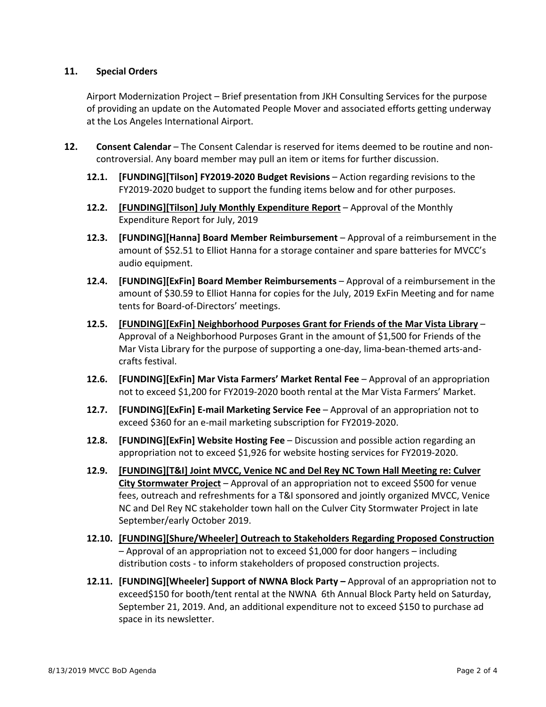#### **11. Special Orders**

Airport Modernization Project – Brief presentation from JKH Consulting Services for the purpose of providing an update on the Automated People Mover and associated efforts getting underway at the Los Angeles International Airport.

- 12. **Consent Calendar** The Consent Calendar is reserved for items deemed to be routine and noncontroversial. Any board member may pull an item or items for further discussion.
	- **12.1. [FUNDING][Tilson] FY2019‐2020 Budget Revisions** Action regarding revisions to the FY2019-2020 budget to support the funding items below and for other purposes.
	- **12.2. [FUNDING][Tilson] July Monthly Expenditure Report** Approval of the Monthly Expenditure Report for July, 2019
	- **12.3. [FUNDING][Hanna] Board Member Reimbursement**  Approval of a reimbursement in the amount of \$52.51 to Elliot Hanna for a storage container and spare batteries for MVCC's audio equipment.
	- **12.4. [FUNDING][ExFin] Board Member Reimbursements**  Approval of a reimbursement in the amount of \$30.59 to Elliot Hanna for copies for the July, 2019 ExFin Meeting and for name tents for Board‐of‐Directors' meetings.
	- **12.5. [FUNDING][ExFin] Neighborhood Purposes Grant for Friends of the Mar Vista Library**  Approval of a Neighborhood Purposes Grant in the amount of \$1,500 for Friends of the Mar Vista Library for the purpose of supporting a one‐day, lima‐bean‐themed arts‐and‐ crafts festival.
	- **12.6. [FUNDING][ExFin] Mar Vista Farmers' Market Rental Fee**  Approval of an appropriation not to exceed \$1,200 for FY2019‐2020 booth rental at the Mar Vista Farmers' Market.
	- **12.7. [FUNDING][ExFin] E‐mail Marketing Service Fee**  Approval of an appropriation not to exceed \$360 for an e‐mail marketing subscription for FY2019‐2020.
	- **12.8. [FUNDING][ExFin] Website Hosting Fee**  Discussion and possible action regarding an appropriation not to exceed \$1,926 for website hosting services for FY2019‐2020.
	- **12.9. [FUNDING][T&I] Joint MVCC, Venice NC and Del Rey NC Town Hall Meeting re: Culver City Stormwater Project** – Approval of an appropriation not to exceed \$500 for venue fees, outreach and refreshments for a T&I sponsored and jointly organized MVCC, Venice NC and Del Rey NC stakeholder town hall on the Culver City Stormwater Project in late September/early October 2019.
	- **12.10. [FUNDING][Shure/Wheeler] Outreach to Stakeholders Regarding Proposed Construction** – Approval of an appropriation not to exceed \$1,000 for door hangers – including distribution costs ‐ to inform stakeholders of proposed construction projects.
	- **12.11. [FUNDING][Wheeler] Support of NWNA Block Party** Approval of an appropriation not to exceed\$150 for booth/tent rental at the NWNA 6th Annual Block Party held on Saturday, September 21, 2019. And, an additional expenditure not to exceed \$150 to purchase ad space in its newsletter.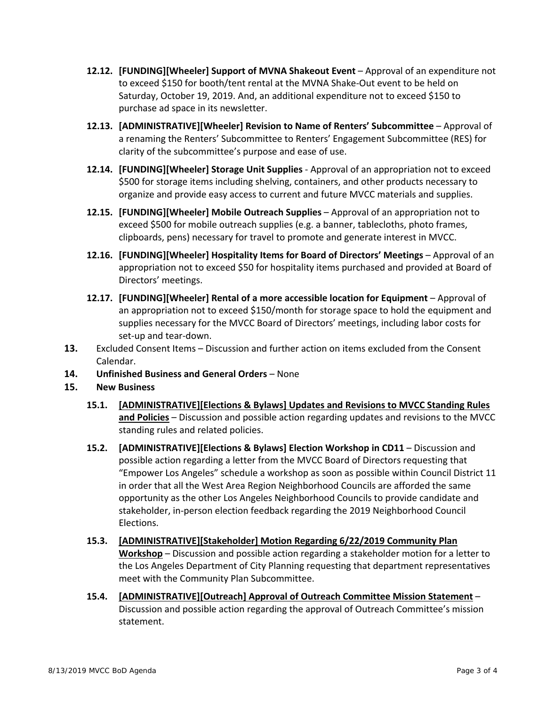- **12.12. [FUNDING][Wheeler] Support of MVNA Shakeout Event** Approval of an expenditure not to exceed \$150 for booth/tent rental at the MVNA Shake‐Out event to be held on Saturday, October 19, 2019. And, an additional expenditure not to exceed \$150 to purchase ad space in its newsletter.
- **12.13. [ADMINISTRATIVE][Wheeler] Revision to Name of Renters' Subcommittee**  Approval of a renaming the Renters' Subcommittee to Renters' Engagement Subcommittee (RES) for clarity of the subcommittee's purpose and ease of use.
- **12.14. [FUNDING][Wheeler] Storage Unit Supplies** ‐ Approval of an appropriation not to exceed \$500 for storage items including shelving, containers, and other products necessary to organize and provide easy access to current and future MVCC materials and supplies.
- **12.15. [FUNDING][Wheeler] Mobile Outreach Supplies**  Approval of an appropriation not to exceed \$500 for mobile outreach supplies (e.g. a banner, tablecloths, photo frames, clipboards, pens) necessary for travel to promote and generate interest in MVCC.
- 12.16. [FUNDING][Wheeler] Hospitality Items for Board of Directors' Meetings Approval of an appropriation not to exceed \$50 for hospitality items purchased and provided at Board of Directors' meetings.
- **12.17. [FUNDING][Wheeler] Rental of a more accessible location for Equipment**  Approval of an appropriation not to exceed \$150/month for storage space to hold the equipment and supplies necessary for the MVCC Board of Directors' meetings, including labor costs for set-up and tear-down.
- **13.** Excluded Consent Items Discussion and further action on items excluded from the Consent Calendar.
- **14. Unfinished Business and General Orders** None

## **15. New Business**

- **15.1. [ADMINISTRATIVE][Elections & Bylaws] Updates and Revisions to MVCC Standing Rules and Policies** – Discussion and possible action regarding updates and revisions to the MVCC standing rules and related policies.
- **15.2. [ADMINISTRATIVE][Elections & Bylaws] Election Workshop in CD11**  Discussion and possible action regarding a letter from the MVCC Board of Directors requesting that "Empower Los Angeles" schedule a workshop as soon as possible within Council District 11 in order that all the West Area Region Neighborhood Councils are afforded the same opportunity as the other Los Angeles Neighborhood Councils to provide candidate and stakeholder, in‐person election feedback regarding the 2019 Neighborhood Council Elections.
- **15.3. [ADMINISTRATIVE][Stakeholder] Motion Regarding 6/22/2019 Community Plan Workshop** – Discussion and possible action regarding a stakeholder motion for a letter to the Los Angeles Department of City Planning requesting that department representatives meet with the Community Plan Subcommittee.
- **15.4. [ADMINISTRATIVE][Outreach] Approval of Outreach Committee Mission Statement**  Discussion and possible action regarding the approval of Outreach Committee's mission statement.